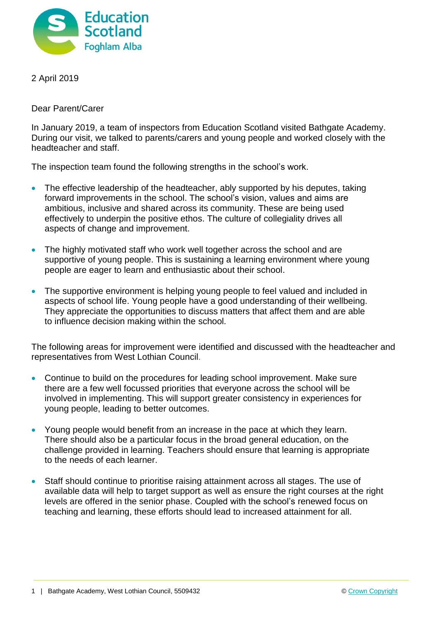

2 April 2019

Dear Parent/Carer

In January 2019, a team of inspectors from Education Scotland visited Bathgate Academy. During our visit, we talked to parents/carers and young people and worked closely with the headteacher and staff.

The inspection team found the following strengths in the school's work.

- The effective leadership of the headteacher, ably supported by his deputes, taking forward improvements in the school. The school's vision, values and aims are ambitious, inclusive and shared across its community. These are being used effectively to underpin the positive ethos. The culture of collegiality drives all aspects of change and improvement.
- The highly motivated staff who work well together across the school and are supportive of young people. This is sustaining a learning environment where young people are eager to learn and enthusiastic about their school.
- The supportive environment is helping young people to feel valued and included in aspects of school life. Young people have a good understanding of their wellbeing. They appreciate the opportunities to discuss matters that affect them and are able to influence decision making within the school.

The following areas for improvement were identified and discussed with the headteacher and representatives from West Lothian Council.

- Continue to build on the procedures for leading school improvement. Make sure there are a few well focussed priorities that everyone across the school will be involved in implementing. This will support greater consistency in experiences for young people, leading to better outcomes.
- Young people would benefit from an increase in the pace at which they learn. There should also be a particular focus in the broad general education, on the challenge provided in learning. Teachers should ensure that learning is appropriate to the needs of each learner.
- Staff should continue to prioritise raising attainment across all stages. The use of available data will help to target support as well as ensure the right courses at the right levels are offered in the senior phase. Coupled with the school's renewed focus on teaching and learning, these efforts should lead to increased attainment for all.